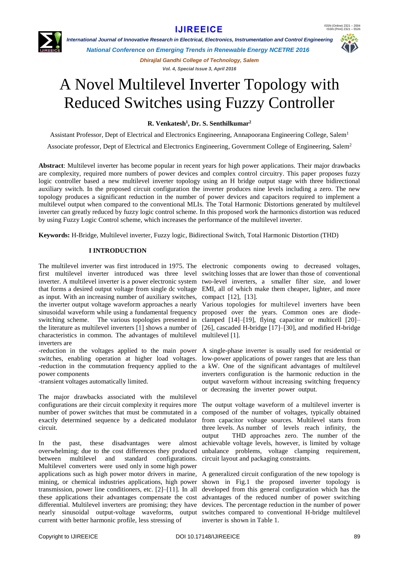

 *International Journal of Innovative Research in Electrical, Electronics, Instrumentation and Control Engineering*

*National Conference on Emerging Trends in Renewable Energy NCETRE 2016*

*Dhirajlal Gandhi College of Technology, Salem Vol. 4, Special Issue 3, April 2016*

# A Novel Multilevel Inverter Topology with Reduced Switches using Fuzzy Controller

**R. Venkatesh<sup>1</sup> , Dr. S. Senthilkumar<sup>2</sup>**

Assistant Professor, Dept of Electrical and Electronics Engineering, Annapoorana Engineering College, Salem<sup>1</sup>

Associate professor, Dept of Electrical and Electronics Engineering, Government College of Engineering, Salem<sup>2</sup>

**Abstract**: Multilevel inverter has become popular in recent years for high power applications. Their major drawbacks are complexity, required more numbers of power devices and complex control circuitry. This paper proposes fuzzy logic controller based a new multilevel inverter topology using an H bridge output stage with three bidirectional auxiliary switch. In the proposed circuit configuration the inverter produces nine levels including a zero. The new topology produces a significant reduction in the number of power devices and capacitors required to implement a multilevel output when compared to the conventional MLIs. The Total Harmonic Distortions generated by multilevel inverter can greatly reduced by fuzzy logic control scheme. In this proposed work the harmonics distortion was reduced by using Fuzzy Logic Control scheme, which increases the performance of the multilevel inverter.

**Keywords:** H-Bridge, Multilevel inverter, Fuzzy logic, Bidirectional Switch, Total Harmonic Distortion (THD)

## **I INTRODUCTION**

The multilevel inverter was first introduced in 1975. The electronic components owing to decreased voltages, first multilevel inverter introduced was three level switching losses that are lower than those of conventional inverter. A multilevel inverter is a power electronic system two-level inverters, a smaller filter size, and lower that forms a desired output voltage from single dc voltage EMI, all of which make them cheaper, lighter, and more as input. With an increasing number of auxiliary switches, compact [12], [13]. the inverter output voltage waveform approaches a nearly Various topologies for multilevel inverters have been sinusoidal waveform while using a fundamental frequency proposed over the years. Common ones are diodeswitching scheme. The various topologies presented in clamped [14]–[19], flying capacitor or multicell [20]– the literature as multilevel inverters [1] shows a number of [26], cascaded H-bridge [17]–[30], and modified H-bridge characteristics in common. The advantages of multilevel multilevel [1]. inverters are

-reduction in the voltages applied to the main power A single-phase inverter is usually used for residential or switches, enabling operation at higher load voltages. low-power applications of power ranges that are less than -reduction in the commutation frequency applied to the a kW. One of the significant advantages of multilevel power components

-transient voltages automatically limited.

The major drawbacks associated with the multilevel configurations are their circuit complexity it requires more number of power switches that must be commutated in a exactly determined sequence by a dedicated modulator circuit.

In the past, these disadvantages were almost overwhelming; due to the cost differences they produced between multilevel and standard configurations. Multilevel converters were used only in some high power applications such as high power motor drivers in marine, A generalized circuit configuration of the new topology is mining, or chemical industries applications, high power transmission, power line conditioners, etc. [2]–[11]. In all these applications their advantages compensate the cost advantages of the reduced number of power switching differential. Multilevel inverters are promising; they have devices. The percentage reduction in the number of power nearly sinusoidal output-voltage waveforms, output switches compared to conventional H-bridge multilevel current with better harmonic profile, less stressing of

inverters configuration is the harmonic reduction in the output waveform without increasing switching frequency or decreasing the inverter power output.

The output voltage waveform of a multilevel inverter is composed of the number of voltages, typically obtained from capacitor voltage sources. Multilevel starts from three levels. As number of levels reach infinity, the output THD approaches zero. The number of the achievable voltage levels, however, is limited by voltage unbalance problems, voltage clamping requirement, circuit layout and packaging constraints.

shown in Fig.1 the proposed inverter topology is developed from this general configuration which has the inverter is shown in Table 1.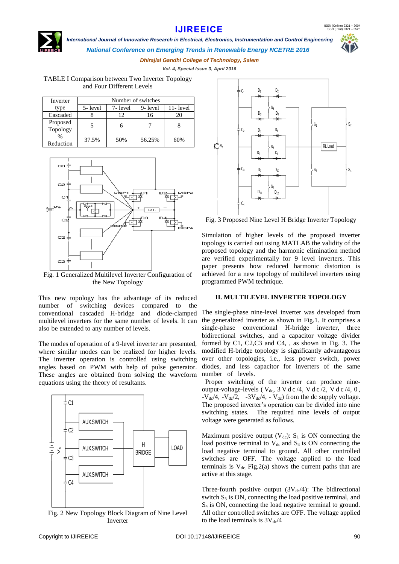ISSN (Online) 2321 – 2004 ISSN (Print) 2321 – 5526

## **[IJIREEICE](http://www.ijireeice.com/)**



## *International Journal of Innovative Research in Electrical, Electronics, Instrumentation and Control Engineering National Conference on Emerging Trends in Renewable Energy NCETRE 2016*



*Dhirajlal Gandhi College of Technology, Salem Vol. 4, Special Issue 3, April 2016*

TABLE I Comparison between Two Inverter Topology and Four Different Levels

| Inverter      | Number of switches |         |         |          |  |  |
|---------------|--------------------|---------|---------|----------|--|--|
| type          | 5-level            | 7-level | 9-level | 11-level |  |  |
| Cascaded      |                    |         | 16      |          |  |  |
| Proposed      |                    |         |         |          |  |  |
| Topology      |                    |         |         |          |  |  |
| $\frac{0}{0}$ | 37.5%              | 50%     | 56.25%  | 60%      |  |  |
| Reduction     |                    |         |         |          |  |  |



Fig. 1 Generalized Multilevel Inverter Configuration of the New Topology

This new topology has the advantage of its reduced number of switching devices compared to the conventional cascaded H-bridge and diode-clamped multilevel inverters for the same number of levels. It can also be extended to any number of levels.

The modes of operation of a 9-level inverter are presented, where similar modes can be realized for higher levels. The inverter operation is controlled using switching angles based on PWM with help of pulse generator. These angles are obtained from solving the waveform equations using the theory of resultants.



Fig. 2 New Topology Block Diagram of Nine Level Inverter



Fig. 3 Proposed Nine Level H Bridge Inverter Topology

Simulation of higher levels of the proposed inverter topology is carried out using MATLAB the validity of the proposed topology and the harmonic elimination method are verified experimentally for 9 level inverters. This paper presents how reduced harmonic distortion is achieved for a new topology of multilevel inverters using programmed PWM technique.

## **II. MULTILEVEL INVERTER TOPOLOGY**

The single-phase nine-level inverter was developed from the generalized inverter as shown in Fig.1. It comprises a single-phase conventional H-bridge inverter, three bidirectional switches, and a capacitor voltage divider formed by C1, C2,C3 and C4, , as shown in Fig. 3. The modified H-bridge topology is significantly advantageous over other topologies, i.e., less power switch, power diodes, and less capacitor for inverters of the same number of levels.

Proper switching of the inverter can produce nineoutput-voltage-levels ( $V_{dc}$ ,  $3 \text{ V d c}$  /4,  $V d c$  /2,  $V d c$  /4, 0,  $-V_{\text{dc}}/4$ ,  $-V_{\text{dc}}/2$ ,  $-3V_{\text{dc}}/4$ ,  $-V_{\text{dc}}$ ) from the dc supply voltage. The proposed inverter's operation can be divided into nine switching states. The required nine levels of output voltage were generated as follows.

Maximum positive output  $(V_{dc})$ : S<sub>1</sub> is ON connecting the load positive terminal to  $V_{dc}$  and  $S_4$  is ON connecting the load negative terminal to ground. All other controlled switches are OFF. The voltage applied to the load terminals is  $V_{dc}$ . Fig. 2(a) shows the current paths that are active at this stage.

Three-fourth positive output  $(3V_{dc}/4)$ : The bidirectional switch  $S_5$  is ON, connecting the load positive terminal, and S<sup>4</sup> is ON, connecting the load negative terminal to ground. All other controlled switches are OFF. The voltage applied to the load terminals is  $3V_{dc}/4$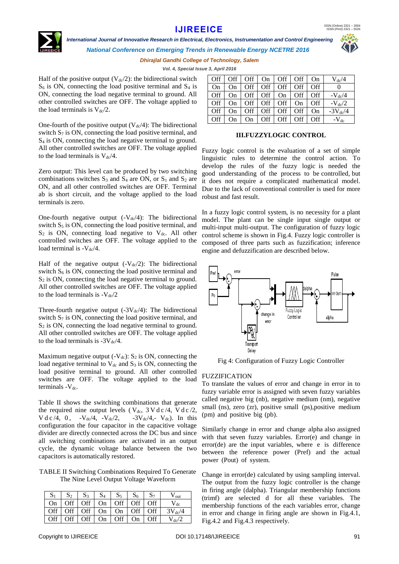ISSN (Online) 2321 – 2004 ISSN (Print) 2321 – 5526

# **[IJIREEICE](http://www.ijireeice.com/)**

 *International Journal of Innovative Research in Electrical, Electronics, Instrumentation and Control Engineering*



*National Conference on Emerging Trends in Renewable Energy NCETRE 2016*

*Dhirajlal Gandhi College of Technology, Salem*

*Vol. 4, Special Issue 3, April 2016*

Half of the positive output  $(V_{dc}/2)$ : the bidirectional switch  $S_6$  is ON, connecting the load positive terminal and  $S_4$  is ON, connecting the load negative terminal to ground. All other controlled switches are OFF. The voltage applied to the load terminals is  $V_{dc}/2$ .

One-fourth of the positive output  $(V_{dc}/4)$ : The bidirectional switch  $S_7$  is ON, connecting the load positive terminal, and S<sup>4</sup> is ON, connecting the load negative terminal to ground. All other controlled switches are OFF. The voltage applied to the load terminals is  $V_{dc}/4$ .

Zero output: This level can be produced by two switching combinations switches  $S_3$  and  $S_4$  are ON, or  $S_1$  and  $S_2$  are ON, and all other controlled switches are OFF. Terminal ab is short circuit, and the voltage applied to the load terminals is zero.

One-fourth negative output  $(-V_{dc}/4)$ : The bidirectional switch  $S_5$  is ON, connecting the load positive terminal, and  $S_2$  is ON, connecting load negative to  $V_{dc}$ . All other controlled switches are OFF. The voltage applied to the load terminal is  $-V<sub>dc</sub>/4$ .

Half of the negative output  $(-V_{dc}/2)$ : The bidirectional switch  $S_6$  is ON, connecting the load positive terminal and  $S_2$  is ON, connecting the load negative terminal to ground. All other controlled switches are OFF. The voltage applied to the load terminals is  $-V_{dc}/2$ 

Three-fourth negative output  $(-3V_{dc}/4)$ : The bidirectional switch  $S_7$  is ON, connecting the load positive terminal, and  $S_2$  is ON, connecting the load negative terminal to ground. All other controlled switches are OFF. The voltage applied to the load terminals is  $-3V_{dc}/4$ .

Maximum negative output  $(-V_{dc})$ : S<sub>2</sub> is ON, connecting the load negative terminal to  $V_{dc}$  and  $S_3$  is ON, connecting the load positive terminal to ground. All other controlled switches are OFF. The voltage applied to the load terminals  $-V_{dc}$ .

Table II shows the switching combinations that generate the required nine output levels ( $V_{dc}$ ,  $3 V d c / 4$ ,  $V d c / 2$ ,  $V d c / 4$ , 0,  $-V_{dc} / 4$ ,  $-V_{dc} / 2$ ,  $-3V_{dc} / 4$ ,  $V_{dc}$ ). In this configuration the four capacitor in the capacitive voltage divider are directly connected across the DC bus and since all switching combinations are activated in an output cycle, the dynamic voltage balance between the two capacitors is automatically restored.

TABLE II Switching Combinations Required To Generate The Nine Level Output Voltage Waveform

|      | S <sub>3</sub> | $S_4$ |                                                                           |  | $V_{\text{out}}$      |
|------|----------------|-------|---------------------------------------------------------------------------|--|-----------------------|
| On - |                |       | Off   Off   On   Off   Off                                                |  | $\frac{1}{\text{dc}}$ |
|      |                |       | Off $\vert$ Off $\vert$ Off $\vert$ On $\vert$ On $\vert$ Off $\vert$ Off |  | $3V_{dc}/4$           |
|      |                |       | Off $\vert$ Off $\vert$ Off $\vert$ On $\vert$ Off $\vert$ On $\vert$ Off |  | $V_{dc}/2$            |

| Off       | Off. | Off | On         | Off  | Off  | On        | $V_{dc}/4$         |
|-----------|------|-----|------------|------|------|-----------|--------------------|
| <b>On</b> | On   | Off | <b>Off</b> | Off. | Off. | Off       |                    |
| Off       | On   | Off | Off        | On   | Off  | Off       | $-V_{dc}/4$        |
| Off       | On   | Off | Off        | Off. | On   | Off       | $-V_{\text{dc}}/2$ |
| Off       | On   | Off | <b>Off</b> | Off. | Off  | <b>On</b> | $-3V_{dc}/4$       |
| Off       | On   | On  | Off        | Off  | Off  | Off       | $-V_{dc}$          |

## **III.FUZZYLOGIC CONTROL**

Fuzzy logic control is the evaluation of a set of simple linguistic rules to determine the control action. To develop the rules of the fuzzy logic is needed the good understanding of the process to be controlled, but it does not require a complicated mathematical model. Due to the lack of conventional controller is used for more robust and fast result.

In a fuzzy logic control system, is no necessity for a plant model. The plant can be single input single output or multi-input multi-output. The configuration of fuzzy logic control scheme is shown in Fig.4. Fuzzy logic controller is composed of three parts such as fuzzification; inference engine and defuzzification are described below.



Fig 4: Configuration of Fuzzy Logic Controller

## FUZZIFICATION

To translate the values of error and change in error in to fuzzy variable error is assigned with seven fuzzy variables called negative big (nb), negative medium (nm), negative small (ns), zero (zr), positive small (ps), positive medium (pm) and positive big (pb).

Similarly change in error and change alpha also assigned with that seven fuzzy variables. Error(e) and change in error(de) are the input variables, where e is difference between the reference power (Pref) and the actual power (Pout) of system.

Change in error(de) calculated by using sampling interval. The output from the fuzzy logic controller is the change in firing angle (dalpha). Triangular membership functions (trimf) are selected d for all these variables. The membership functions of the each variables error, change in error and change in firing angle are shown in Fig.4.1, Fig.4.2 and Fig.4.3 respectively.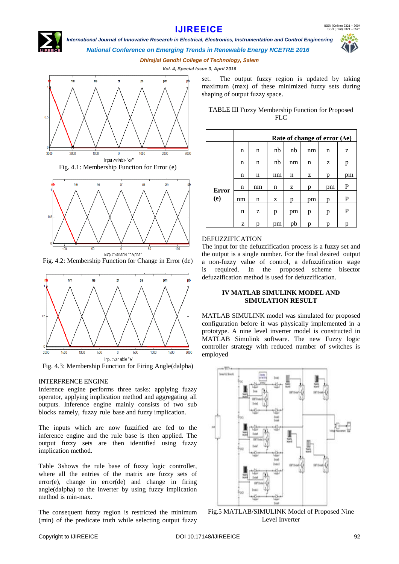*International Journal of Innovative Research in Electrical, Electronics, Instrumentation and Control Engineering*



*National Conference on Emerging Trends in Renewable Energy NCETRE 2016*

*Dhirajlal Gandhi College of Technology, Salem*

*Vol. 4, Special Issue 3, April 2016*



output variable "dalpha" Fig. 4.2: Membership Function for Change in Error (de)



Fig. 4.3: Membership Function for Firing Angle(dalpha)

## INTERFRENCE ENGINE

Inference engine performs three tasks: applying fuzzy operator, applying implication method and aggregating all outputs. Inference engine mainly consists of two sub blocks namely, fuzzy rule base and fuzzy implication.

The inputs which are now fuzzified are fed to the inference engine and the rule base is then applied. The output fuzzy sets are then identified using fuzzy implication method.

Table 3shows the rule base of fuzzy logic controller, where all the entries of the matrix are fuzzy sets of error(e), change in error(de) and change in firing angle(dalpha) to the inverter by using fuzzy implication method is min-max.

The consequent fuzzy region is restricted the minimum (min) of the predicate truth while selecting output fuzzy

set. The output fuzzy region is updated by taking maximum (max) of these minimized fuzzy sets during shaping of output fuzzy space.

TABLE III Fuzzy Membership Function for Proposed FLC

|                     | Rate of change of error $(\Delta e)$ |    |    |    |    |    |    |  |  |
|---------------------|--------------------------------------|----|----|----|----|----|----|--|--|
|                     | n                                    | n  | nb | nb | nm | n  | z  |  |  |
| <b>Error</b><br>(e) | n                                    | n  | nb | nm | n  | z  | D  |  |  |
|                     | n                                    | n  | nm | n  | z  | p  | pm |  |  |
|                     | n                                    | nm | n  | z  | p  | pm | P  |  |  |
|                     | nm                                   | n  | z  | p  | pm | p  | P  |  |  |
|                     | n                                    | z  | p  | pm | p  | D  | P  |  |  |
|                     | z                                    | p  | pm | pb | р  | p  | p  |  |  |

## DEFUZZIFICATION

The input for the defuzzification process is a fuzzy set and the output is a single number. For the final desired output a non-fuzzy value of control, a defuzzification stage is required. In the proposed scheme bisector defuzzification method is used for defuzzification.

## **IV MATLAB SIMULINK MODEL AND SIMULATION RESULT**

MATLAB SIMULINK model was simulated for proposed configuration before it was physically implemented in a prototype. A nine level inverter model is constructed in MATLAB Simulink software. The new Fuzzy logic controller strategy with reduced number of switches is employed



Fig.5 MATLAB/SIMULINK Model of Proposed Nine Level Inverter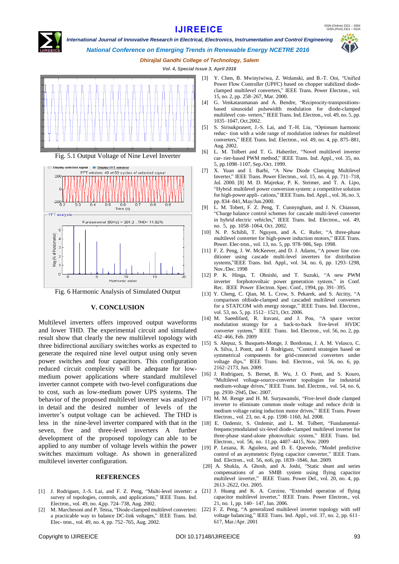

 *International Journal of Innovative Research in Electrical, Electronics, Instrumentation and Control Engineering*



*National Conference on Emerging Trends in Renewable Energy NCETRE 2016*

## *Dhirajlal Gandhi College of Technology, Salem*

*Vol. 4, Special Issue 3, April 2016*



Fig. 5.1 Output Voltage of Nine Level Inverter



Fig. 6 Harmonic Analysis of Simulated Output

## **V. CONCLUSION**

Multilevel inverters offers improved output waveforms and lower THD. The experimental circuit and simulated result show that clearly the new multilevel topology with three bidirectional auxiliary switches works as expected to generate the required nine level output using only seven power switches and four capacitors. This configuration reduced circuit complexity will be adequate for lowmedium power applications where standard multilevel inverter cannot compete with two-level configurations due to cost, such as low-medium power UPS systems. The behavior of the proposed multilevel inverter was analyzed [17] in detail and the desired number of levels of the inverter's output voltage can be achieved. The THD is less in the nine-level inverter compared with that in the [18] E. Ozdemir, S. Ozdemir, and L. M. Tolbert, "Fundamentalseven, five and three-level inverters A further development of the proposed topology can able to be applied to any number of voltage levels within the power [19] P. Lezana, R. Aguilera, and D. E. Quevedo, "Model predictive switches maximum voltage. As shown in generalized multilevel inverter configuration.

#### **REFERENCES**

- survey of topologies, controls, and applications," IEEE Trans. Ind. Electron., vol. 49, no. 4,pp. 724–738, Aug. 2002.
- [2] M. Marchesoni and P. Tensa, "Diode-clamped multilevel converters: a practicable way to balance DC-link voltages," IEEE Trans. Ind. Elec- tron., vol. 49, no. 4, pp. 752–765, Aug. 2002.
- [3] Y. Chen, B. Mwinyiwiwa, Z. Wolanski, and B.-T. Ooi, "Unified Power Flow Controller (UPFC) based on chopper stabilized diodeclamped multilevel converters," IEEE Trans. Power Electron., vol. 15, no. 2, pp. 258–267, Mar. 2000.
- [4] G. Venkataramanan and A. Bendre, "Reciprocity-transpositionsbased sinusoidal pulsewidth modulation for diode-clamped multilevel con- verters," IEEE Trans. Ind. Electron., vol. 49, no. 5, pp. 1035–1047, Oct.2002.
- [5] S. Sirisukprasert, J.-S. Lai, and T.-H. Liu, "Optimum harmonic reduc- tion with a wide range of modulation indexes for multilevel converters," IEEE Trans. Ind. Electron., vol. 49, no. 4, pp. 875–881, Aug. 2002.
- [6] L. M. Tolbert and T. G. Habertler, "Novel multilevel inverter car- rier-based PWM method," IEEE Trans. Ind. Appl., vol. 35, no. 5, pp.1098–1107, Sep./Oct. 1999.
- [7] X. Yuan and I. Barbi, "A New Diode Clamping Multilevel Inverter," IEEE Trans. Power Electron., vol. 15, no. 4, pp. 711–718, Jul. 2000. [8] M. D. Majrekar, P. K. Steimer, and T. A. Lipo, "Hybrid multilevel power conversion system: a competitive solution for high-power appli- cations," IEEE Trans. Ind. Appl.., vol. 36, no. 3, pp. 834–841, May/Jun.2000.
- [9] L. M. Tobert, F. Z. Peng, T. Cunnyngham, and J. N. Chiasson, "Charge balance control schemes for cascade multi-level converter in hybrid electric vehicles," IEEE Trans. Ind. Electron., vol. 49, no. 5, pp. 1058–1064, Oct. 2002.
- [10] N. P. Schibli, T. Nguyen, and A. C. Rufer, "A three-phase multilevel converter for high-power induction motors," IEEE Trans. Power. Elec-tron., vol. 13, no. 5, pp. 978–986, Sep. 1998.
- [11] F. Z. Peng, J. W. McKeever, and D. J. Adams, "A power line conditioner using cascade multi-level inverters for distribution systems,"IEEE Trans. Ind. Appl., vol. 34, no. 6, pp. 1293–1298, Nov./Dec. 1998
- [12] P. K. Hinga, T. Ohnishi, and T. Suzuki, "A new PWM inverter forphotovoltaic power generation system," in Conf. Rec. IEEE Power Electron. Spec. Conf., 1994, pp. 391–395.
- [13] Y. Cheng, C. Qian, M. L. Crow, S. Pekarek, and S. Atcitty, "A comparison ofdiode-clamped and cascaded multilevel converters for a STATCOM with energy storage," IEEE Trans. Ind. Electron., vol. 53, no. 5, pp. 1512– 1521, Oct. 2006.
- [14] M. Saeedifard, R. Iravani, and J. Pou, "A space vector modulation strategy for a back-to-back five-level HVDC converter system," IEEE Trans. Ind. Electron., vol. 56, no. 2, pp. 452–466, Feb. 2009
- [15] S. Alepuz, S. Busquets-Monge, J. Bordonau, J. A. M. Velasco, C. A. Silva, J. Pontt, and J. Rodríguez, "Control strategies based on symmetrical components for grid-connected converters under voltage dips," IEEE Trans. Ind. Electron., vol. 56, no. 6, pp. 2162–2173, Jun. 2009.
- [16] J. Rodriguez, S. Bernet, B. Wu, J. O. Pontt, and S. Kouro, "Multilevel voltage-source-converter topologies for industrial medium-voltage drives," IEEE Trans. Ind. Electron., vol. 54, no. 6, pp. 2930–2945, Dec. 2007.
- M. M. Renge and H. M. Suryawanshi, "Five-level diode clamped inverter to eliminate common mode voltage and reduce dv/dt in medium voltage rating induction motor drives," IEEE Trans. Power Electron., vol. 23, no. 4, pp. 1598–1160, Jul. 2008.
- frequencymodulated six-level diode-clamped multilevel inverter for three-phase stand-alone photovoltaic system," IEEE Trans. Ind. Electron., vol. 56, no. 11,pp. 4407–4415, Nov. 2009
- control of an asymmetric flying capacitor converter," IEEE Trans. Ind. Electron., vol. 56, no6, pp. 1839–1846, Jun. 2009.
- [20] A. Shukla, A. Ghosh, and A. Joshi, "Static shunt and series compensations of an SMIB system using flying capacitor multilevel inverter," IEEE Trans. Power Del., vol. 20, no. 4, pp. 2613–2622, Oct. 2005.
- [1] J. Rodriguez, J.-S. Lai, and F. Z. Peng, "Multi-level inverter: a [21] J. Huang and K. A. Corzine, "Extended operation of flying capacitor multilevel inverter," IEEE Trans. Power Electron., vol. 21, no. 1, pp. 140– 147, Jan. 2006.
	- [22] F. Z. Peng, "A generalized multilevel inverter topology with self voltage balancing," IEEE Trans. Ind. Appl., vol. 37, no. 2, pp. 611– 617, Mar./Apr. 2001